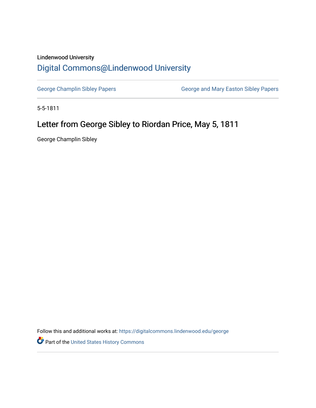## Lindenwood University

## [Digital Commons@Lindenwood University](https://digitalcommons.lindenwood.edu/)

[George Champlin Sibley Papers](https://digitalcommons.lindenwood.edu/george) **George and Mary Easton Sibley Papers** George and Mary Easton Sibley Papers

5-5-1811

## Letter from George Sibley to Riordan Price, May 5, 1811

George Champlin Sibley

Follow this and additional works at: [https://digitalcommons.lindenwood.edu/george](https://digitalcommons.lindenwood.edu/george?utm_source=digitalcommons.lindenwood.edu%2Fgeorge%2F32&utm_medium=PDF&utm_campaign=PDFCoverPages)

Part of the [United States History Commons](http://network.bepress.com/hgg/discipline/495?utm_source=digitalcommons.lindenwood.edu%2Fgeorge%2F32&utm_medium=PDF&utm_campaign=PDFCoverPages)